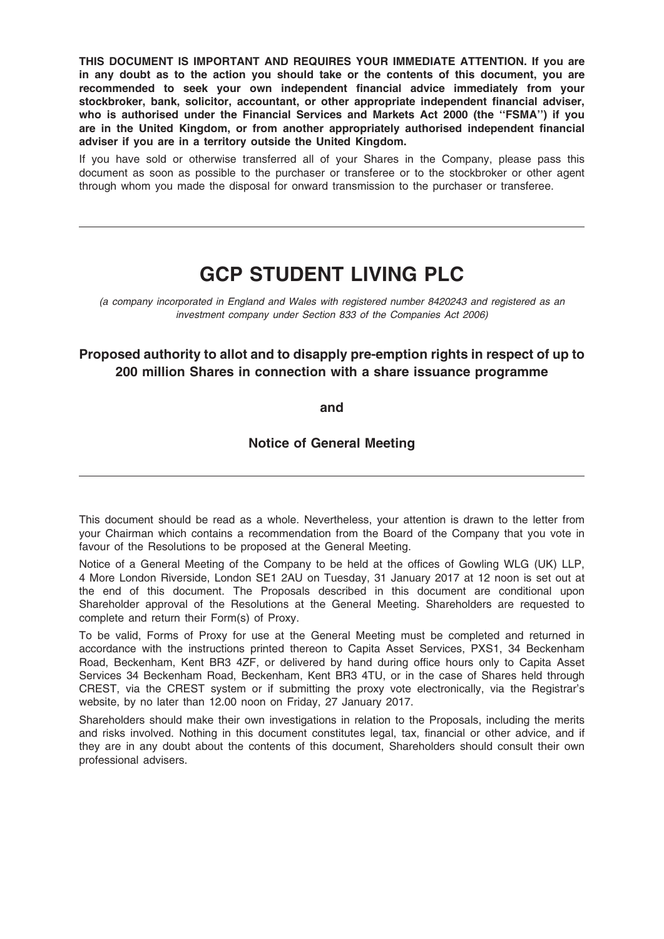THIS DOCUMENT IS IMPORTANT AND REQUIRES YOUR IMMEDIATE ATTENTION. If you are in any doubt as to the action you should take or the contents of this document, you are recommended to seek your own independent financial advice immediately from your stockbroker, bank, solicitor, accountant, or other appropriate independent financial adviser, who is authorised under the Financial Services and Markets Act 2000 (the "FSMA") if you are in the United Kingdom, or from another appropriately authorised independent financial adviser if you are in a territory outside the United Kingdom.

If you have sold or otherwise transferred all of your Shares in the Company, please pass this document as soon as possible to the purchaser or transferee or to the stockbroker or other agent through whom you made the disposal for onward transmission to the purchaser or transferee.

# GCP STUDENT LIVING PLC

(a company incorporated in England and Wales with registered number 8420243 and registered as an investment company under Section 833 of the Companies Act 2006)

## Proposed authority to allot and to disapply pre-emption rights in respect of up to 200 million Shares in connection with a share issuance programme

and

Notice of General Meeting

This document should be read as a whole. Nevertheless, your attention is drawn to the letter from your Chairman which contains a recommendation from the Board of the Company that you vote in favour of the Resolutions to be proposed at the General Meeting.

Notice of a General Meeting of the Company to be held at the offices of Gowling WLG (UK) LLP, 4 More London Riverside, London SE1 2AU on Tuesday, 31 January 2017 at 12 noon is set out at the end of this document. The Proposals described in this document are conditional upon Shareholder approval of the Resolutions at the General Meeting. Shareholders are requested to complete and return their Form(s) of Proxy.

To be valid, Forms of Proxy for use at the General Meeting must be completed and returned in accordance with the instructions printed thereon to Capita Asset Services, PXS1, 34 Beckenham Road, Beckenham, Kent BR3 4ZF, or delivered by hand during office hours only to Capita Asset Services 34 Beckenham Road, Beckenham, Kent BR3 4TU, or in the case of Shares held through CREST, via the CREST system or if submitting the proxy vote electronically, via the Registrar's website, by no later than 12.00 noon on Friday, 27 January 2017.

Shareholders should make their own investigations in relation to the Proposals, including the merits and risks involved. Nothing in this document constitutes legal, tax, financial or other advice, and if they are in any doubt about the contents of this document, Shareholders should consult their own professional advisers.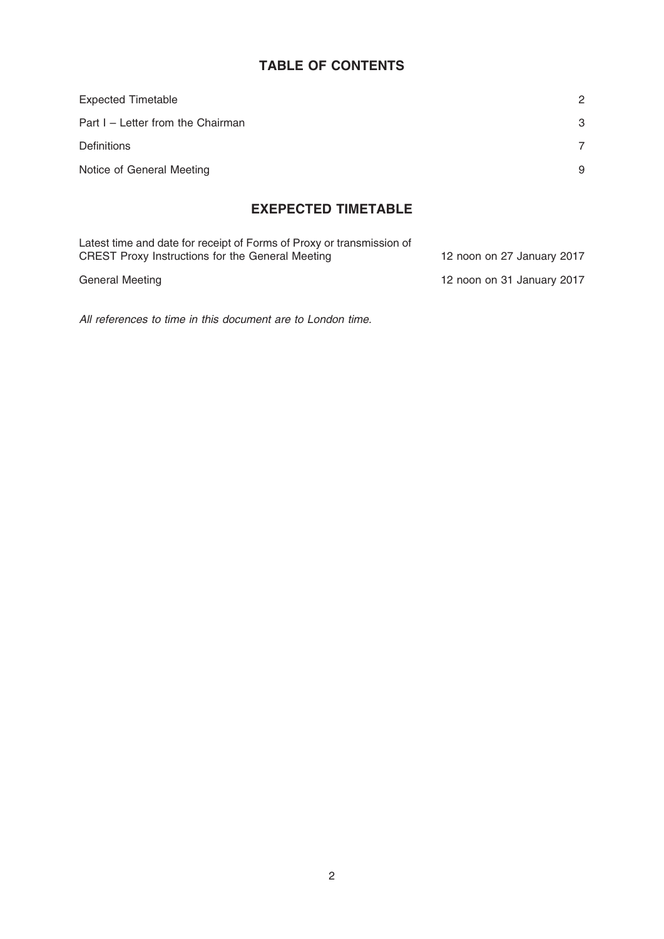## TABLE OF CONTENTS

| 2 |
|---|
| 3 |
|   |
| 9 |
|   |

## EXEPECTED TIMETABLE

| Latest time and date for receipt of Forms of Proxy or transmission of |                            |
|-----------------------------------------------------------------------|----------------------------|
| CREST Proxy Instructions for the General Meeting                      | 12 noon on 27 January 2017 |
| General Meeting                                                       | 12 noon on 31 January 2017 |

All references to time in this document are to London time.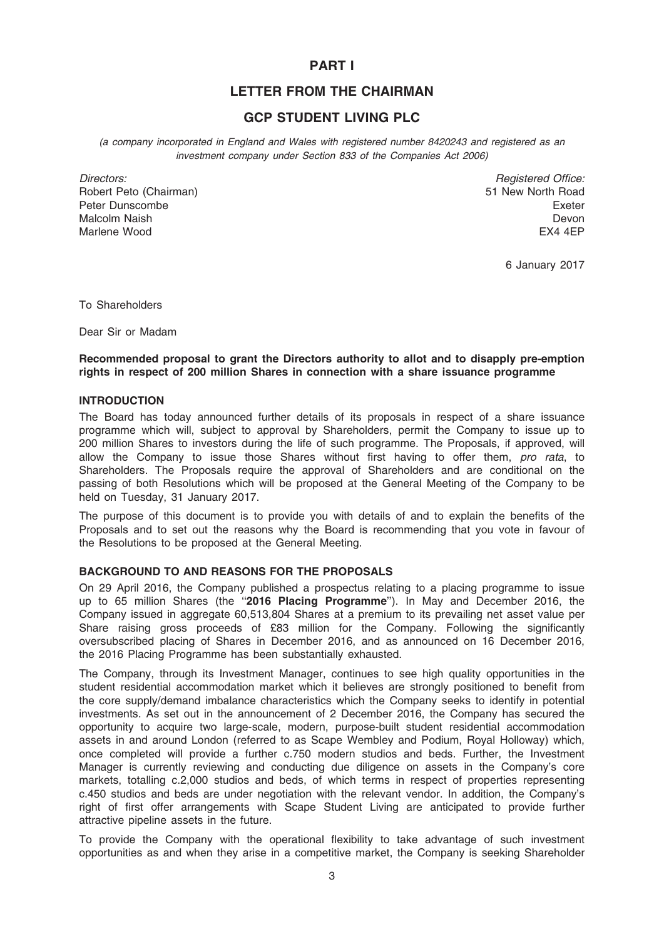## PART I

### LETTER FROM THE CHAIRMAN

## GCP STUDENT LIVING PLC

(a company incorporated in England and Wales with registered number 8420243 and registered as an investment company under Section 833 of the Companies Act 2006)

Directors: Registered Office: Robert Peto (Chairman) Peter Dunscombe Malcolm Naish Marlene Wood

51 New North Road Exeter Devon EX4 4EP

6 January 2017

To Shareholders

Dear Sir or Madam

Recommended proposal to grant the Directors authority to allot and to disapply pre-emption rights in respect of 200 million Shares in connection with a share issuance programme

#### INTRODUCTION

The Board has today announced further details of its proposals in respect of a share issuance programme which will, subject to approval by Shareholders, permit the Company to issue up to 200 million Shares to investors during the life of such programme. The Proposals, if approved, will allow the Company to issue those Shares without first having to offer them, pro rata, to Shareholders. The Proposals require the approval of Shareholders and are conditional on the passing of both Resolutions which will be proposed at the General Meeting of the Company to be held on Tuesday, 31 January 2017.

The purpose of this document is to provide you with details of and to explain the benefits of the Proposals and to set out the reasons why the Board is recommending that you vote in favour of the Resolutions to be proposed at the General Meeting.

#### BACKGROUND TO AND REASONS FOR THE PROPOSALS

On 29 April 2016, the Company published a prospectus relating to a placing programme to issue up to 65 million Shares (the "2016 Placing Programme"). In May and December 2016, the Company issued in aggregate 60,513,804 Shares at a premium to its prevailing net asset value per Share raising gross proceeds of £83 million for the Company. Following the significantly oversubscribed placing of Shares in December 2016, and as announced on 16 December 2016, the 2016 Placing Programme has been substantially exhausted.

The Company, through its Investment Manager, continues to see high quality opportunities in the student residential accommodation market which it believes are strongly positioned to benefit from the core supply/demand imbalance characteristics which the Company seeks to identify in potential investments. As set out in the announcement of 2 December 2016, the Company has secured the opportunity to acquire two large-scale, modern, purpose-built student residential accommodation assets in and around London (referred to as Scape Wembley and Podium, Royal Holloway) which, once completed will provide a further c.750 modern studios and beds. Further, the Investment Manager is currently reviewing and conducting due diligence on assets in the Company's core markets, totalling c.2,000 studios and beds, of which terms in respect of properties representing c.450 studios and beds are under negotiation with the relevant vendor. In addition, the Company's right of first offer arrangements with Scape Student Living are anticipated to provide further attractive pipeline assets in the future.

To provide the Company with the operational flexibility to take advantage of such investment opportunities as and when they arise in a competitive market, the Company is seeking Shareholder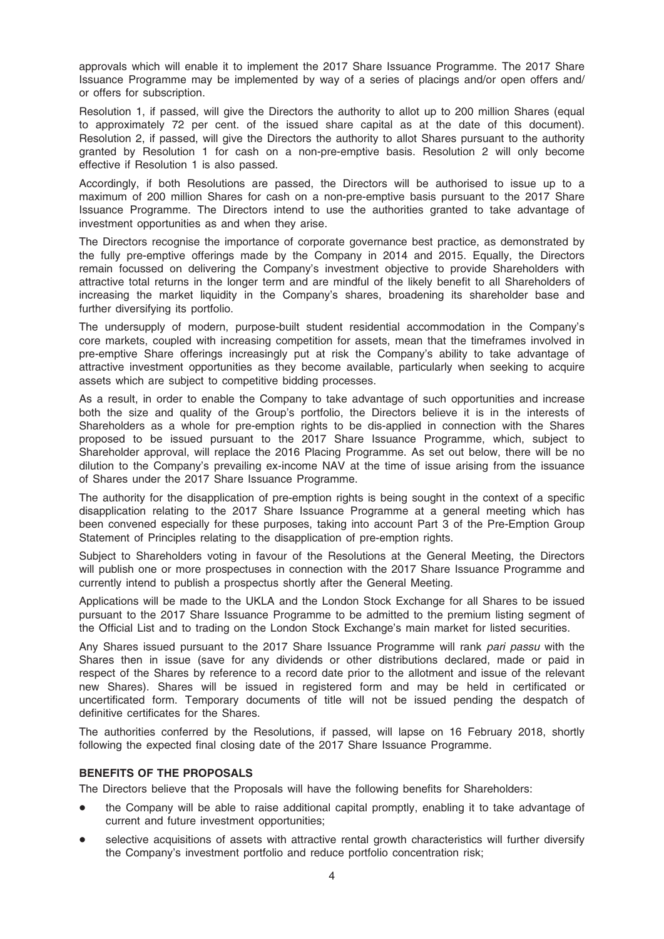approvals which will enable it to implement the 2017 Share Issuance Programme. The 2017 Share Issuance Programme may be implemented by way of a series of placings and/or open offers and/ or offers for subscription.

Resolution 1, if passed, will give the Directors the authority to allot up to 200 million Shares (equal to approximately 72 per cent. of the issued share capital as at the date of this document). Resolution 2, if passed, will give the Directors the authority to allot Shares pursuant to the authority granted by Resolution 1 for cash on a non-pre-emptive basis. Resolution 2 will only become effective if Resolution 1 is also passed.

Accordingly, if both Resolutions are passed, the Directors will be authorised to issue up to a maximum of 200 million Shares for cash on a non-pre-emptive basis pursuant to the 2017 Share Issuance Programme. The Directors intend to use the authorities granted to take advantage of investment opportunities as and when they arise.

The Directors recognise the importance of corporate governance best practice, as demonstrated by the fully pre-emptive offerings made by the Company in 2014 and 2015. Equally, the Directors remain focussed on delivering the Company's investment objective to provide Shareholders with attractive total returns in the longer term and are mindful of the likely benefit to all Shareholders of increasing the market liquidity in the Company's shares, broadening its shareholder base and further diversifying its portfolio.

The undersupply of modern, purpose-built student residential accommodation in the Company's core markets, coupled with increasing competition for assets, mean that the timeframes involved in pre-emptive Share offerings increasingly put at risk the Company's ability to take advantage of attractive investment opportunities as they become available, particularly when seeking to acquire assets which are subject to competitive bidding processes.

As a result, in order to enable the Company to take advantage of such opportunities and increase both the size and quality of the Group's portfolio, the Directors believe it is in the interests of Shareholders as a whole for pre-emption rights to be dis-applied in connection with the Shares proposed to be issued pursuant to the 2017 Share Issuance Programme, which, subject to Shareholder approval, will replace the 2016 Placing Programme. As set out below, there will be no dilution to the Company's prevailing ex-income NAV at the time of issue arising from the issuance of Shares under the 2017 Share Issuance Programme.

The authority for the disapplication of pre-emption rights is being sought in the context of a specific disapplication relating to the 2017 Share Issuance Programme at a general meeting which has been convened especially for these purposes, taking into account Part 3 of the Pre-Emption Group Statement of Principles relating to the disapplication of pre-emption rights.

Subject to Shareholders voting in favour of the Resolutions at the General Meeting, the Directors will publish one or more prospectuses in connection with the 2017 Share Issuance Programme and currently intend to publish a prospectus shortly after the General Meeting.

Applications will be made to the UKLA and the London Stock Exchange for all Shares to be issued pursuant to the 2017 Share Issuance Programme to be admitted to the premium listing segment of the Official List and to trading on the London Stock Exchange's main market for listed securities.

Any Shares issued pursuant to the 2017 Share Issuance Programme will rank pari passu with the Shares then in issue (save for any dividends or other distributions declared, made or paid in respect of the Shares by reference to a record date prior to the allotment and issue of the relevant new Shares). Shares will be issued in registered form and may be held in certificated or uncertificated form. Temporary documents of title will not be issued pending the despatch of definitive certificates for the Shares.

The authorities conferred by the Resolutions, if passed, will lapse on 16 February 2018, shortly following the expected final closing date of the 2017 Share Issuance Programme.

#### BENEFITS OF THE PROPOSALS

The Directors believe that the Proposals will have the following benefits for Shareholders:

- the Company will be able to raise additional capital promptly, enabling it to take advantage of current and future investment opportunities;
- selective acquisitions of assets with attractive rental growth characteristics will further diversify the Company's investment portfolio and reduce portfolio concentration risk;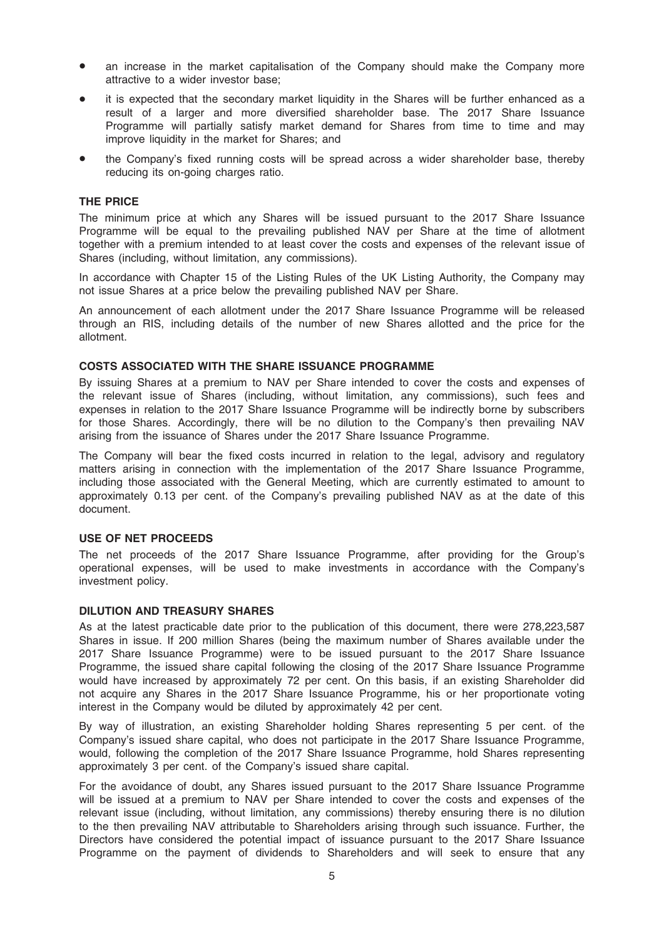- an increase in the market capitalisation of the Company should make the Company more attractive to a wider investor base;
- it is expected that the secondary market liquidity in the Shares will be further enhanced as a result of a larger and more diversified shareholder base. The 2017 Share Issuance Programme will partially satisfy market demand for Shares from time to time and may improve liquidity in the market for Shares; and
- the Company's fixed running costs will be spread across a wider shareholder base, thereby reducing its on-going charges ratio.

#### THE PRICE

The minimum price at which any Shares will be issued pursuant to the 2017 Share Issuance Programme will be equal to the prevailing published NAV per Share at the time of allotment together with a premium intended to at least cover the costs and expenses of the relevant issue of Shares (including, without limitation, any commissions).

In accordance with Chapter 15 of the Listing Rules of the UK Listing Authority, the Company may not issue Shares at a price below the prevailing published NAV per Share.

An announcement of each allotment under the 2017 Share Issuance Programme will be released through an RIS, including details of the number of new Shares allotted and the price for the allotment.

#### COSTS ASSOCIATED WITH THE SHARE ISSUANCE PROGRAMME

By issuing Shares at a premium to NAV per Share intended to cover the costs and expenses of the relevant issue of Shares (including, without limitation, any commissions), such fees and expenses in relation to the 2017 Share Issuance Programme will be indirectly borne by subscribers for those Shares. Accordingly, there will be no dilution to the Company's then prevailing NAV arising from the issuance of Shares under the 2017 Share Issuance Programme.

The Company will bear the fixed costs incurred in relation to the legal, advisory and regulatory matters arising in connection with the implementation of the 2017 Share Issuance Programme, including those associated with the General Meeting, which are currently estimated to amount to approximately 0.13 per cent. of the Company's prevailing published NAV as at the date of this document.

#### USE OF NET PROCEEDS

The net proceeds of the 2017 Share Issuance Programme, after providing for the Group's operational expenses, will be used to make investments in accordance with the Company's investment policy.

#### DILUTION AND TREASURY SHARES

As at the latest practicable date prior to the publication of this document, there were 278,223,587 Shares in issue. If 200 million Shares (being the maximum number of Shares available under the 2017 Share Issuance Programme) were to be issued pursuant to the 2017 Share Issuance Programme, the issued share capital following the closing of the 2017 Share Issuance Programme would have increased by approximately 72 per cent. On this basis, if an existing Shareholder did not acquire any Shares in the 2017 Share Issuance Programme, his or her proportionate voting interest in the Company would be diluted by approximately 42 per cent.

By way of illustration, an existing Shareholder holding Shares representing 5 per cent. of the Company's issued share capital, who does not participate in the 2017 Share Issuance Programme, would, following the completion of the 2017 Share Issuance Programme, hold Shares representing approximately 3 per cent. of the Company's issued share capital.

For the avoidance of doubt, any Shares issued pursuant to the 2017 Share Issuance Programme will be issued at a premium to NAV per Share intended to cover the costs and expenses of the relevant issue (including, without limitation, any commissions) thereby ensuring there is no dilution to the then prevailing NAV attributable to Shareholders arising through such issuance. Further, the Directors have considered the potential impact of issuance pursuant to the 2017 Share Issuance Programme on the payment of dividends to Shareholders and will seek to ensure that any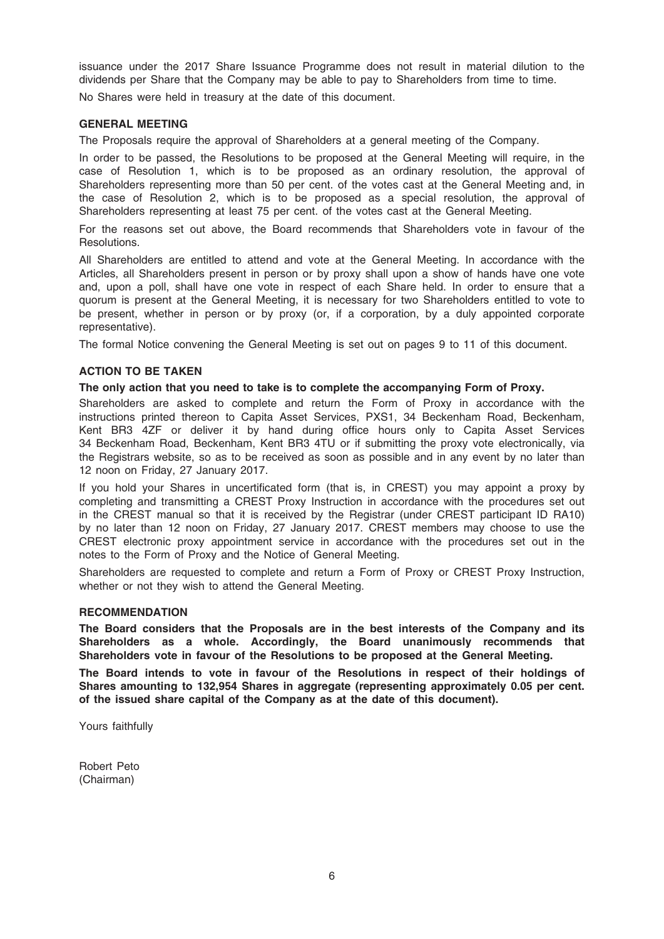issuance under the 2017 Share Issuance Programme does not result in material dilution to the dividends per Share that the Company may be able to pay to Shareholders from time to time.

No Shares were held in treasury at the date of this document.

#### GENERAL MEETING

The Proposals require the approval of Shareholders at a general meeting of the Company.

In order to be passed, the Resolutions to be proposed at the General Meeting will require, in the case of Resolution 1, which is to be proposed as an ordinary resolution, the approval of Shareholders representing more than 50 per cent. of the votes cast at the General Meeting and, in the case of Resolution 2, which is to be proposed as a special resolution, the approval of Shareholders representing at least 75 per cent. of the votes cast at the General Meeting.

For the reasons set out above, the Board recommends that Shareholders vote in favour of the Resolutions.

All Shareholders are entitled to attend and vote at the General Meeting. In accordance with the Articles, all Shareholders present in person or by proxy shall upon a show of hands have one vote and, upon a poll, shall have one vote in respect of each Share held. In order to ensure that a quorum is present at the General Meeting, it is necessary for two Shareholders entitled to vote to be present, whether in person or by proxy (or, if a corporation, by a duly appointed corporate representative).

The formal Notice convening the General Meeting is set out on pages 9 to 11 of this document.

#### ACTION TO BE TAKEN

#### The only action that you need to take is to complete the accompanying Form of Proxy.

Shareholders are asked to complete and return the Form of Proxy in accordance with the instructions printed thereon to Capita Asset Services, PXS1, 34 Beckenham Road, Beckenham, Kent BR3 4ZF or deliver it by hand during office hours only to Capita Asset Services 34 Beckenham Road, Beckenham, Kent BR3 4TU or if submitting the proxy vote electronically, via the Registrars website, so as to be received as soon as possible and in any event by no later than 12 noon on Friday, 27 January 2017.

If you hold your Shares in uncertificated form (that is, in CREST) you may appoint a proxy by completing and transmitting a CREST Proxy Instruction in accordance with the procedures set out in the CREST manual so that it is received by the Registrar (under CREST participant ID RA10) by no later than 12 noon on Friday, 27 January 2017. CREST members may choose to use the CREST electronic proxy appointment service in accordance with the procedures set out in the notes to the Form of Proxy and the Notice of General Meeting.

Shareholders are requested to complete and return a Form of Proxy or CREST Proxy Instruction, whether or not they wish to attend the General Meeting.

#### **RECOMMENDATION**

The Board considers that the Proposals are in the best interests of the Company and its Shareholders as a whole. Accordingly, the Board unanimously recommends that Shareholders vote in favour of the Resolutions to be proposed at the General Meeting.

The Board intends to vote in favour of the Resolutions in respect of their holdings of Shares amounting to 132,954 Shares in aggregate (representing approximately 0.05 per cent. of the issued share capital of the Company as at the date of this document).

Yours faithfully

Robert Peto (Chairman)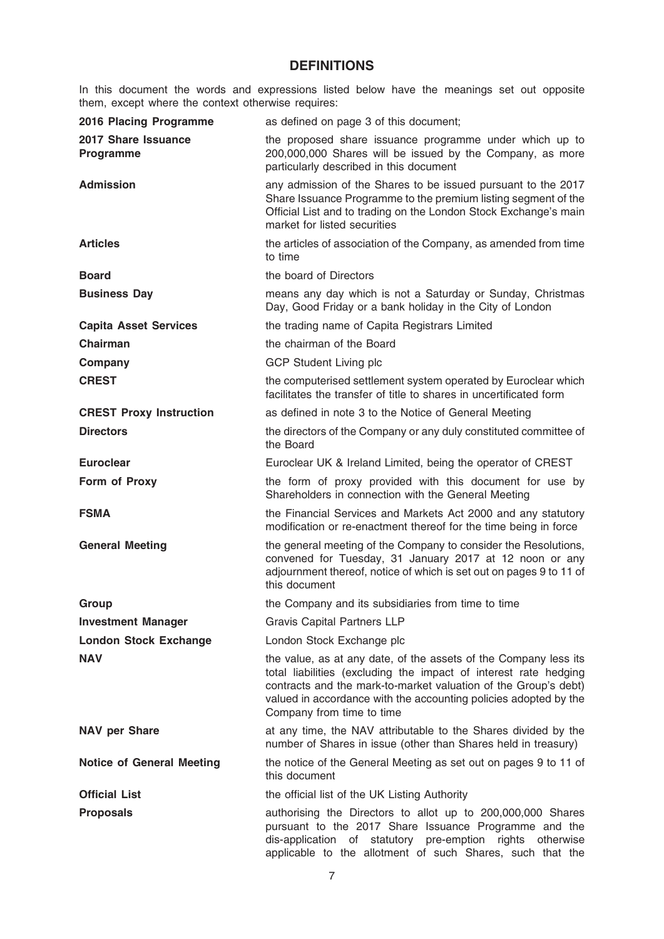## DEFINITIONS

In this document the words and expressions listed below have the meanings set out opposite them, except where the context otherwise requires:

| 2016 Placing Programme           | as defined on page 3 of this document;                                                                                                                                                                                                                                                                   |
|----------------------------------|----------------------------------------------------------------------------------------------------------------------------------------------------------------------------------------------------------------------------------------------------------------------------------------------------------|
| 2017 Share Issuance<br>Programme | the proposed share issuance programme under which up to<br>200,000,000 Shares will be issued by the Company, as more<br>particularly described in this document                                                                                                                                          |
| <b>Admission</b>                 | any admission of the Shares to be issued pursuant to the 2017<br>Share Issuance Programme to the premium listing segment of the<br>Official List and to trading on the London Stock Exchange's main<br>market for listed securities                                                                      |
| <b>Articles</b>                  | the articles of association of the Company, as amended from time<br>to time                                                                                                                                                                                                                              |
| <b>Board</b>                     | the board of Directors                                                                                                                                                                                                                                                                                   |
| <b>Business Day</b>              | means any day which is not a Saturday or Sunday, Christmas<br>Day, Good Friday or a bank holiday in the City of London                                                                                                                                                                                   |
| <b>Capita Asset Services</b>     | the trading name of Capita Registrars Limited                                                                                                                                                                                                                                                            |
| Chairman                         | the chairman of the Board                                                                                                                                                                                                                                                                                |
| Company                          | <b>GCP Student Living plc</b>                                                                                                                                                                                                                                                                            |
| <b>CREST</b>                     | the computerised settlement system operated by Euroclear which<br>facilitates the transfer of title to shares in uncertificated form                                                                                                                                                                     |
| <b>CREST Proxy Instruction</b>   | as defined in note 3 to the Notice of General Meeting                                                                                                                                                                                                                                                    |
| <b>Directors</b>                 | the directors of the Company or any duly constituted committee of<br>the Board                                                                                                                                                                                                                           |
| <b>Euroclear</b>                 | Euroclear UK & Ireland Limited, being the operator of CREST                                                                                                                                                                                                                                              |
| Form of Proxy                    | the form of proxy provided with this document for use by<br>Shareholders in connection with the General Meeting                                                                                                                                                                                          |
| <b>FSMA</b>                      | the Financial Services and Markets Act 2000 and any statutory<br>modification or re-enactment thereof for the time being in force                                                                                                                                                                        |
| <b>General Meeting</b>           | the general meeting of the Company to consider the Resolutions,<br>convened for Tuesday, 31 January 2017 at 12 noon or any<br>adjournment thereof, notice of which is set out on pages 9 to 11 of<br>this document                                                                                       |
| Group                            | the Company and its subsidiaries from time to time                                                                                                                                                                                                                                                       |
| <b>Investment Manager</b>        | <b>Gravis Capital Partners LLP</b>                                                                                                                                                                                                                                                                       |
| <b>London Stock Exchange</b>     | London Stock Exchange plc                                                                                                                                                                                                                                                                                |
| <b>NAV</b>                       | the value, as at any date, of the assets of the Company less its<br>total liabilities (excluding the impact of interest rate hedging<br>contracts and the mark-to-market valuation of the Group's debt)<br>valued in accordance with the accounting policies adopted by the<br>Company from time to time |
| <b>NAV per Share</b>             | at any time, the NAV attributable to the Shares divided by the<br>number of Shares in issue (other than Shares held in treasury)                                                                                                                                                                         |
| <b>Notice of General Meeting</b> | the notice of the General Meeting as set out on pages 9 to 11 of<br>this document                                                                                                                                                                                                                        |
| <b>Official List</b>             | the official list of the UK Listing Authority                                                                                                                                                                                                                                                            |
| <b>Proposals</b>                 | authorising the Directors to allot up to 200,000,000 Shares<br>pursuant to the 2017 Share Issuance Programme and the<br>dis-application of statutory pre-emption rights otherwise<br>applicable to the allotment of such Shares, such that the                                                           |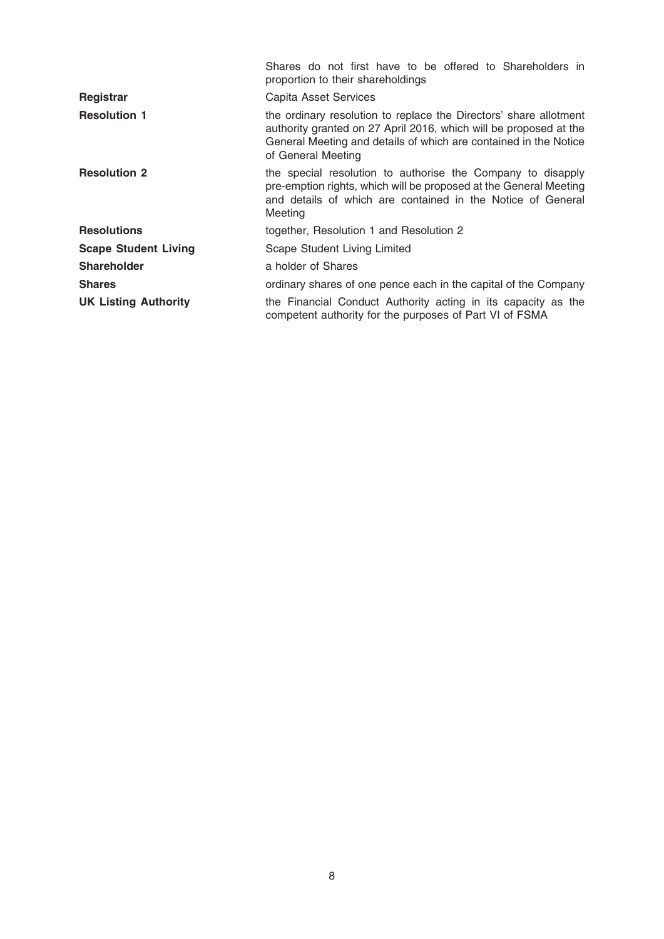|                             | Shares do not first have to be offered to Shareholders in<br>proportion to their shareholdings                                                                                                                                   |
|-----------------------------|----------------------------------------------------------------------------------------------------------------------------------------------------------------------------------------------------------------------------------|
| Registrar                   | Capita Asset Services                                                                                                                                                                                                            |
| <b>Resolution 1</b>         | the ordinary resolution to replace the Directors' share allotment<br>authority granted on 27 April 2016, which will be proposed at the<br>General Meeting and details of which are contained in the Notice<br>of General Meeting |
| <b>Resolution 2</b>         | the special resolution to authorise the Company to disapply<br>pre-emption rights, which will be proposed at the General Meeting<br>and details of which are contained in the Notice of General<br>Meeting                       |
| <b>Resolutions</b>          | together, Resolution 1 and Resolution 2                                                                                                                                                                                          |
| <b>Scape Student Living</b> | Scape Student Living Limited                                                                                                                                                                                                     |
| <b>Shareholder</b>          | a holder of Shares                                                                                                                                                                                                               |
| <b>Shares</b>               | ordinary shares of one pence each in the capital of the Company                                                                                                                                                                  |
| <b>UK Listing Authority</b> | the Financial Conduct Authority acting in its capacity as the<br>competent authority for the purposes of Part VI of FSMA                                                                                                         |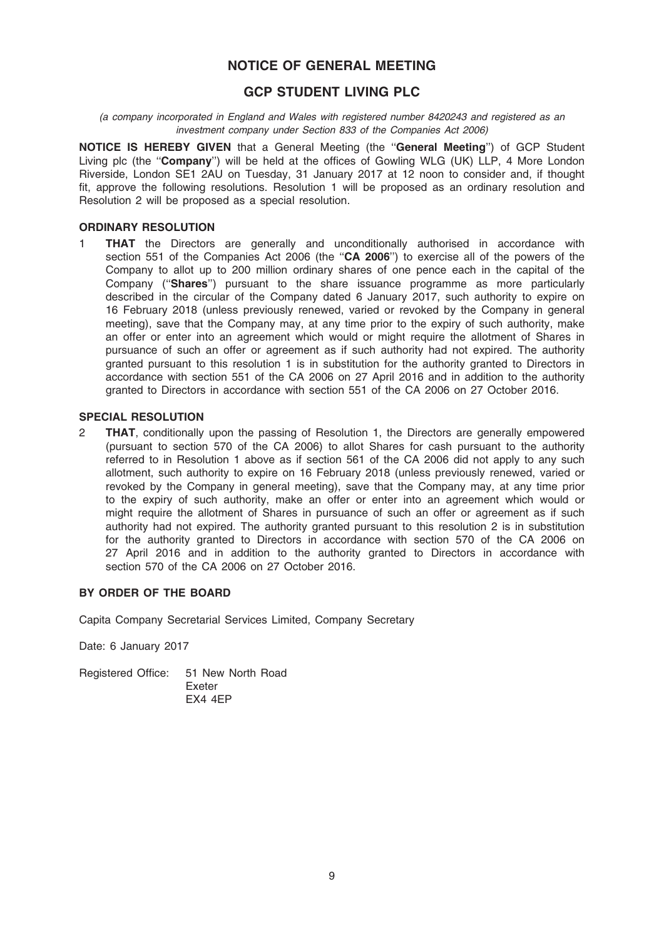## NOTICE OF GENERAL MEETING

## GCP STUDENT LIVING PLC

(a company incorporated in England and Wales with registered number 8420243 and registered as an investment company under Section 833 of the Companies Act 2006)

NOTICE IS HEREBY GIVEN that a General Meeting (the ''General Meeting'') of GCP Student Living plc (the "Company") will be held at the offices of Gowling WLG (UK) LLP, 4 More London Riverside, London SE1 2AU on Tuesday, 31 January 2017 at 12 noon to consider and, if thought fit, approve the following resolutions. Resolution 1 will be proposed as an ordinary resolution and Resolution 2 will be proposed as a special resolution.

#### ORDINARY RESOLUTION

1 THAT the Directors are generally and unconditionally authorised in accordance with section 551 of the Companies Act 2006 (the "CA 2006") to exercise all of the powers of the Company to allot up to 200 million ordinary shares of one pence each in the capital of the Company (''Shares'') pursuant to the share issuance programme as more particularly described in the circular of the Company dated 6 January 2017, such authority to expire on 16 February 2018 (unless previously renewed, varied or revoked by the Company in general meeting), save that the Company may, at any time prior to the expiry of such authority, make an offer or enter into an agreement which would or might require the allotment of Shares in pursuance of such an offer or agreement as if such authority had not expired. The authority granted pursuant to this resolution 1 is in substitution for the authority granted to Directors in accordance with section 551 of the CA 2006 on 27 April 2016 and in addition to the authority granted to Directors in accordance with section 551 of the CA 2006 on 27 October 2016.

#### SPECIAL RESOLUTION

2 THAT, conditionally upon the passing of Resolution 1, the Directors are generally empowered (pursuant to section 570 of the CA 2006) to allot Shares for cash pursuant to the authority referred to in Resolution 1 above as if section 561 of the CA 2006 did not apply to any such allotment, such authority to expire on 16 February 2018 (unless previously renewed, varied or revoked by the Company in general meeting), save that the Company may, at any time prior to the expiry of such authority, make an offer or enter into an agreement which would or might require the allotment of Shares in pursuance of such an offer or agreement as if such authority had not expired. The authority granted pursuant to this resolution 2 is in substitution for the authority granted to Directors in accordance with section 570 of the CA 2006 on 27 April 2016 and in addition to the authority granted to Directors in accordance with section 570 of the CA 2006 on 27 October 2016.

#### BY ORDER OF THE BOARD

Capita Company Secretarial Services Limited, Company Secretary

Date: 6 January 2017

Registered Office: 51 New North Road Exeter EX4 4EP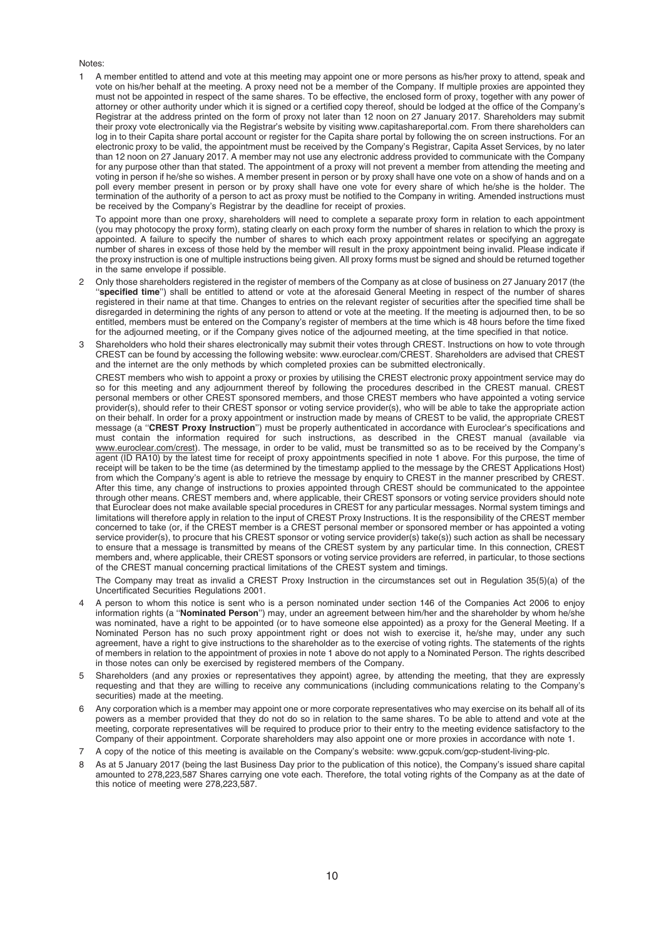#### Notes:

1 A member entitled to attend and vote at this meeting may appoint one or more persons as his/her proxy to attend, speak and vote on his/her behalf at the meeting. A proxy need not be a member of the Company. If multiple proxies are appointed they must not be appointed in respect of the same shares. To be effective, the enclosed form of proxy, together with any power of attorney or other authority under which it is signed or a certified copy thereof, should be lodged at the office of the Company's Registrar at the address printed on the form of proxy not later than 12 noon on 27 January 2017. Shareholders may submit their proxy vote electronically via the Registrar's website by visiting www.capitashareportal.com. From there shareholders can log in to their Capita share portal account or register for the Capita share portal by following the on screen instructions. For an electronic proxy to be valid, the appointment must be received by the Company's Registrar, Capita Asset Services, by no later than 12 noon on 27 January 2017. A member may not use any electronic address provided to communicate with the Company for any purpose other than that stated. The appointment of a proxy will not prevent a member from attending the meeting and voting in person if he/she so wishes. A member present in person or by proxy shall have one vote on a show of hands and on a poll every member present in person or by proxy shall have one vote for every share of which he/she is the holder. The termination of the authority of a person to act as proxy must be notified to the Company in writing. Amended instructions must be received by the Company's Registrar by the deadline for receipt of proxies.

To appoint more than one proxy, shareholders will need to complete a separate proxy form in relation to each appointment (you may photocopy the proxy form), stating clearly on each proxy form the number of shares in relation to which the proxy is appointed. A failure to specify the number of shares to which each proxy appointment relates or specifying an aggregate number of shares in excess of those held by the member will result in the proxy appointment being invalid. Please indicate if the proxy instruction is one of multiple instructions being given. All proxy forms must be signed and should be returned together in the same envelope if possible.

- 2 Only those shareholders registered in the register of members of the Company as at close of business on 27 January 2017 (the 'specified time") shall be entitled to attend or vote at the aforesaid General Meeting in respect of the number of shares registered in their name at that time. Changes to entries on the relevant register of securities after the specified time shall be disregarded in determining the rights of any person to attend or vote at the meeting. If the meeting is adjourned then, to be so entitled, members must be entered on the Company's register of members at the time which is 48 hours before the time fixed for the adjourned meeting, or if the Company gives notice of the adjourned meeting, at the time specified in that notice.
- Shareholders who hold their shares electronically may submit their votes through CREST. Instructions on how to vote through CREST can be found by accessing the following website: www.euroclear.com/CREST. Shareholders are advised that CREST and the internet are the only methods by which completed proxies can be submitted electronically.

CREST members who wish to appoint a proxy or proxies by utilising the CREST electronic proxy appointment service may do so for this meeting and any adjournment thereof by following the procedures described in the CREST manual. CREST personal members or other CREST sponsored members, and those CREST members who have appointed a voting service provider(s), should refer to their CREST sponsor or voting service provider(s), who will be able to take the appropriate action on their behalf. In order for a proxy appointment or instruction made by means of CREST to be valid, the appropriate CREST message (a "CREST Proxy Instruction") must be properly authenticated in accordance with Euroclear's specifications and must contain the information required for such instructions, as described in the CREST manual (available via www.euroclear.com/crest). The message, in order to be valid, must be transmitted so as to be received by the Company's agent (ID RA10) by the latest time for receipt of proxy appointments specified in note 1 above. For this purpose, the time of receipt will be taken to be the time (as determined by the timestamp applied to the message by the CREST Applications Host) from which the Company's agent is able to retrieve the message by enquiry to CREST in the manner prescribed by CREST. After this time, any change of instructions to proxies appointed through CREST should be communicated to the appointee through other means. CREST members and, where applicable, their CREST sponsors or voting service providers should note that Euroclear does not make available special procedures in CREST for any particular messages. Normal system timings and limitations will therefore apply in relation to the input of CREST Proxy Instructions. It is the responsibility of the CREST member concerned to take (or, if the CREST member is a CREST personal member or sponsored member or has appointed a voting service provider(s), to procure that his CREST sponsor or voting service provider(s) take(s)) such action as shall be necessary to ensure that a message is transmitted by means of the CREST system by any particular time. In this connection, CREST members and, where applicable, their CREST sponsors or voting service providers are referred, in particular, to those sections of the CREST manual concerning practical limitations of the CREST system and timings.

The Company may treat as invalid a CREST Proxy Instruction in the circumstances set out in Regulation 35(5)(a) of the Uncertificated Securities Regulations 2001.

- 4 A person to whom this notice is sent who is a person nominated under section 146 of the Companies Act 2006 to enjoy information rights (a "Nominated Person") may, under an agreement between him/her and the shareholder by whom he/she was nominated, have a right to be appointed (or to have someone else appointed) as a proxy for the General Meeting. If a Nominated Person has no such proxy appointment right or does not wish to exercise it, he/she may, under any such agreement, have a right to give instructions to the shareholder as to the exercise of voting rights. The statements of the rights of members in relation to the appointment of proxies in note 1 above do not apply to a Nominated Person. The rights described in those notes can only be exercised by registered members of the Company.
- 5 Shareholders (and any proxies or representatives they appoint) agree, by attending the meeting, that they are expressly requesting and that they are willing to receive any communications (including communications relating to the Company's securities) made at the meeting.
- 6 Any corporation which is a member may appoint one or more corporate representatives who may exercise on its behalf all of its powers as a member provided that they do not do so in relation to the same shares. To be able to attend and vote at the meeting, corporate representatives will be required to produce prior to their entry to the meeting evidence satisfactory to the Company of their appointment. Corporate shareholders may also appoint one or more proxies in accordance with note 1.
- 7 A copy of the notice of this meeting is available on the Company's website: www.gcpuk.com/gcp-student-living-plc.
- 8 As at 5 January 2017 (being the last Business Day prior to the publication of this notice), the Company's issued share capital amounted to 278,223,587 Shares carrying one vote each. Therefore, the total voting rights of the Company as at the date of this notice of meeting were 278,223,587.